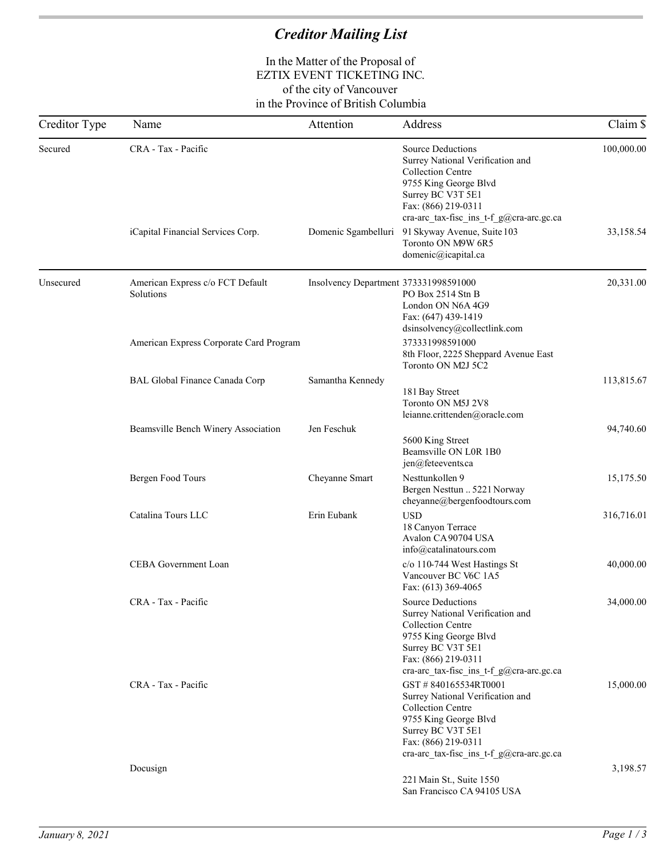# *Creditor Mailing List*

#### In the Matter of the Proposal of EZTIX EVENT TICKETING INC. of the city of Vancouver in the Province of British Columbia

| Creditor Type | Name                                          | Attention                             | Address                                                                                                                                                                                                   | Claim \$   |
|---------------|-----------------------------------------------|---------------------------------------|-----------------------------------------------------------------------------------------------------------------------------------------------------------------------------------------------------------|------------|
| Secured       | CRA - Tax - Pacific                           |                                       | <b>Source Deductions</b><br>Surrey National Verification and<br><b>Collection Centre</b><br>9755 King George Blvd<br>Surrey BC V3T 5E1<br>Fax: (866) 219-0311<br>cra-arc_tax-fisc_ins_t-f_g@cra-arc.gc.ca | 100,000.00 |
|               | iCapital Financial Services Corp.             | Domenic Sgambelluri                   | 91 Skyway Avenue, Suite 103<br>Toronto ON M9W 6R5<br>domenic@icapital.ca                                                                                                                                  | 33,158.54  |
| Unsecured     | American Express c/o FCT Default<br>Solutions | Insolvency Department 373331998591000 | PO Box 2514 Stn B<br>London ON N6A 4G9<br>Fax: (647) 439-1419<br>dsinsolvency@collectlink.com                                                                                                             | 20,331.00  |
|               | American Express Corporate Card Program       |                                       | 373331998591000<br>8th Floor, 2225 Sheppard Avenue East<br>Toronto ON M2J 5C2                                                                                                                             |            |
|               | <b>BAL Global Finance Canada Corp</b>         | Samantha Kennedy                      | 181 Bay Street<br>Toronto ON M5J 2V8<br>leianne.crittenden@oracle.com                                                                                                                                     | 113,815.67 |
|               | Beamsville Bench Winery Association           | Jen Feschuk                           | 5600 King Street<br>Beamsville ON L0R 1B0<br>jen@feteevents.ca                                                                                                                                            | 94,740.60  |
|               | Bergen Food Tours                             | Cheyanne Smart                        | Nesttunkollen 9<br>Bergen Nesttun  5221 Norway<br>cheyanne@bergenfoodtours.com                                                                                                                            | 15,175.50  |
|               | Catalina Tours LLC                            | Erin Eubank                           | <b>USD</b><br>18 Canyon Terrace<br>Avalon CA 90704 USA<br>info@catalinatours.com                                                                                                                          | 316,716.01 |
|               | CEBA Government Loan                          |                                       | c/o 110-744 West Hastings St<br>Vancouver BC V6C 1A5<br>Fax: (613) 369-4065                                                                                                                               | 40,000.00  |
|               | CRA - Tax - Pacific                           |                                       | <b>Source Deductions</b><br>Surrey National Verification and<br><b>Collection Centre</b><br>9755 King George Blvd<br>Surrey BC V3T 5E1<br>Fax: (866) 219-0311<br>cra-arc_tax-fisc_ins_t-f_g@cra-arc.gc.ca | 34,000.00  |
|               | CRA - Tax - Pacific                           |                                       | GST #840165534RT0001<br>Surrey National Verification and<br><b>Collection Centre</b><br>9755 King George Blvd<br>Surrey BC V3T 5E1<br>Fax: (866) 219-0311<br>cra-arc_tax-fisc_ins_t-f_g@cra-arc.gc.ca     | 15,000.00  |
|               | Docusign                                      |                                       | 221 Main St., Suite 1550<br>San Francisco CA 94105 USA                                                                                                                                                    | 3,198.57   |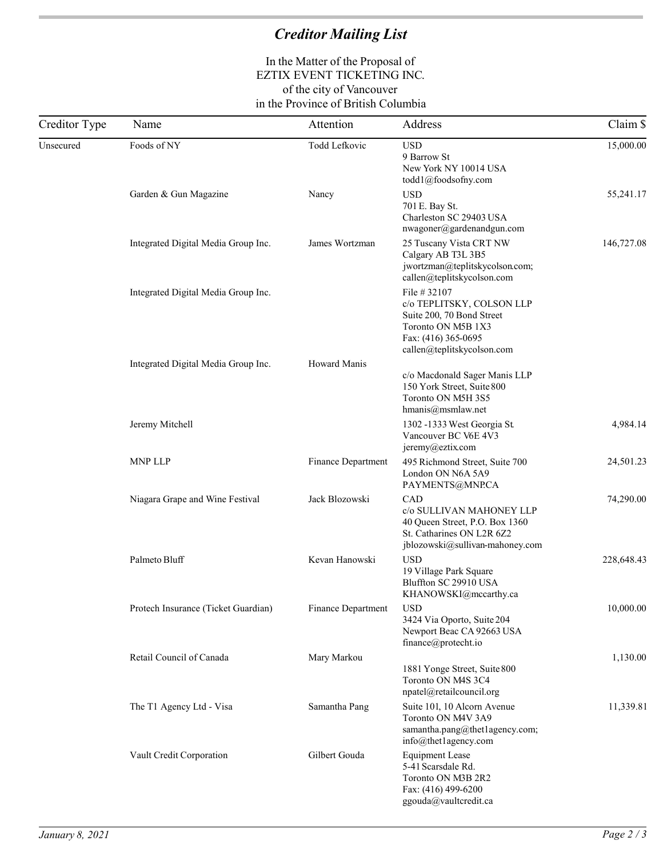## *Creditor Mailing List*

### In the Matter of the Proposal of EZTIX EVENT TICKETING INC. of the city of Vancouver in the Province of British Columbia

| Creditor Type | Name                                | Attention          | Address                                                                                                                                           | Claim \$   |
|---------------|-------------------------------------|--------------------|---------------------------------------------------------------------------------------------------------------------------------------------------|------------|
| Unsecured     | Foods of NY                         | Todd Lefkovic      | <b>USD</b><br>9 Barrow St<br>New York NY 10014 USA<br>todd1@foodsofny.com                                                                         | 15,000.00  |
|               | Garden & Gun Magazine               | Nancy              | <b>USD</b><br>701 E. Bay St.<br>Charleston SC 29403 USA<br>nwagoner@gardenandgun.com                                                              | 55,241.17  |
|               | Integrated Digital Media Group Inc. | James Wortzman     | 25 Tuscany Vista CRT NW<br>Calgary AB T3L 3B5<br>jwortzman@teplitskycolson.com;<br>callen@teplitskycolson.com                                     | 146,727.08 |
|               | Integrated Digital Media Group Inc. |                    | File # 32107<br>c/o TEPLITSKY, COLSON LLP<br>Suite 200, 70 Bond Street<br>Toronto ON M5B 1X3<br>Fax: (416) 365-0695<br>callen@teplitskycolson.com |            |
|               | Integrated Digital Media Group Inc. | Howard Manis       | c/o Macdonald Sager Manis LLP<br>150 York Street, Suite 800<br>Toronto ON M5H 3S5<br>hmanis@msmlaw.net                                            |            |
|               | Jeremy Mitchell                     |                    | 1302 -1333 West Georgia St.<br>Vancouver BC V6E 4V3<br>jeremy@eztix.com                                                                           | 4,984.14   |
|               | <b>MNP LLP</b>                      | Finance Department | 495 Richmond Street, Suite 700<br>London ON N6A 5A9<br>PAYMENTS@MNP.CA                                                                            | 24,501.23  |
|               | Niagara Grape and Wine Festival     | Jack Blozowski     | CAD<br>c/o SULLIVAN MAHONEY LLP<br>40 Queen Street, P.O. Box 1360<br>St. Catharines ON L2R 6Z2<br>jblozowski@sullivan-mahoney.com                 | 74,290.00  |
|               | Palmeto Bluff                       | Kevan Hanowski     | <b>USD</b><br>19 Village Park Square<br>Bluffton SC 29910 USA<br>KHANOWSKI@mccarthy.ca                                                            | 228,648.43 |
|               | Protech Insurance (Ticket Guardian) | Finance Department | <b>USD</b><br>3424 Via Oporto, Suite 204<br>Newport Beac CA 92663 USA<br>finance@protecht.io                                                      | 10,000.00  |
|               | Retail Council of Canada            | Mary Markou        | 1881 Yonge Street, Suite 800<br>Toronto ON M4S 3C4<br>npatel@retailcouncil.org                                                                    | 1,130.00   |
|               | The T1 Agency Ltd - Visa            | Samantha Pang      | Suite 101, 10 Alcorn Avenue<br>Toronto ON M4V 3A9<br>samantha.pang@thet1agency.com;<br>info@thet1agercy.com                                       | 11,339.81  |
|               | Vault Credit Corporation            | Gilbert Gouda      | <b>Equipment Lease</b><br>5-41 Scarsdale Rd.<br>Toronto ON M3B 2R2<br>Fax: (416) 499-6200<br>ggouda@vaultcredit.ca                                |            |